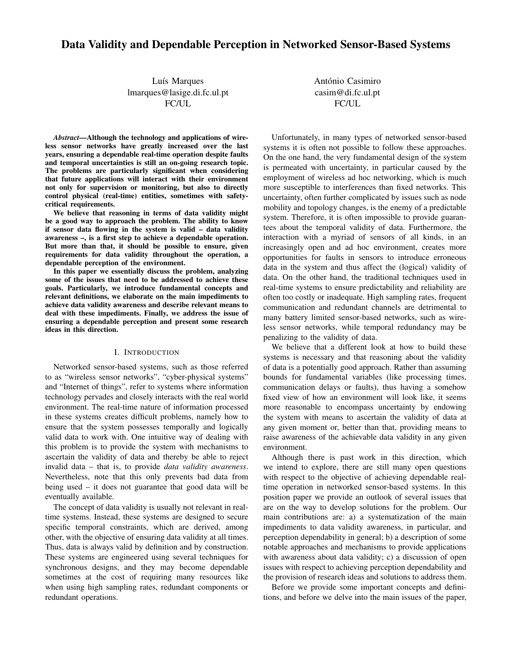# Data Validity and Dependable Perception in Networked Sensor-Based Systems

Luís Marques lmarques@lasige.di.fc.ul.pt FC/UL

António Casimiro casim@di.fc.ul.pt FC/UL

*Abstract*—Although the technology and applications of wireless sensor networks have greatly increased over the last years, ensuring a dependable real-time operation despite faults and temporal uncertainties is still an on-going research topic. The problems are particularly significant when considering that future applications will interact with their environment not only for supervision or monitoring, but also to directly control physical (real-time) entities, sometimes with safetycritical requirements.

We believe that reasoning in terms of data validity might be a good way to approach the problem. The ability to know if sensor data flowing in the system is valid – data validity awareness –, is a first step to achieve a dependable operation. But more than that, it should be possible to ensure, given requirements for data validity throughout the operation, a dependable perception of the environment.

In this paper we essentially discuss the problem, analyzing some of the issues that need to be addressed to achieve these goals. Particularly, we introduce fundamental concepts and relevant definitions, we elaborate on the main impediments to achieve data validity awareness and describe relevant means to deal with these impediments. Finally, we address the issue of ensuring a dependable perception and present some research ideas in this direction.

#### I. INTRODUCTION

Networked sensor-based systems, such as those referred to as "wireless sensor networks", "cyber-physical systems" and "Internet of things", refer to systems where information technology pervades and closely interacts with the real world environment. The real-time nature of information processed in these systems creates difficult problems, namely how to ensure that the system possesses temporally and logically valid data to work with. One intuitive way of dealing with this problem is to provide the system with mechanisms to ascertain the validity of data and thereby be able to reject invalid data – that is, to provide *data validity awareness*. Nevertheless, note that this only prevents bad data from being used – it does not guarantee that good data will be eventually available.

The concept of data validity is usually not relevant in realtime systems. Instead, these systems are designed to secure specific temporal constraints, which are derived, among other, with the objective of ensuring data validity at all times. Thus, data is always valid by definition and by construction. These systems are engineered using several techniques for synchronous designs, and they may become dependable sometimes at the cost of requiring many resources like when using high sampling rates, redundant components or redundant operations.

Unfortunately, in many types of networked sensor-based systems it is often not possible to follow these approaches. On the one hand, the very fundamental design of the system is permeated with uncertainty, in particular caused by the employment of wireless ad hoc networking, which is much more susceptible to interferences than fixed networks. This uncertainty, often further complicated by issues such as node mobility and topology changes, is the enemy of a predictable system. Therefore, it is often impossible to provide guarantees about the temporal validity of data. Furthermore, the interaction with a myriad of sensors of all kinds, in an increasingly open and ad hoc environment, creates more opportunities for faults in sensors to introduce erroneous data in the system and thus affect the (logical) validity of data. On the other hand, the traditional techniques used in real-time systems to ensure predictability and reliability are often too costly or inadequate. High sampling rates, frequent communication and redundant channels are detrimental to many battery limited sensor-based networks, such as wireless sensor networks, while temporal redundancy may be penalizing to the validity of data.

We believe that a different look at how to build these systems is necessary and that reasoning about the validity of data is a potentially good approach. Rather than assuming bounds for fundamental variables (like processing times, communication delays or faults), thus having a somehow fixed view of how an environment will look like, it seems more reasonable to encompass uncertainty by endowing the system with means to ascertain the validity of data at any given moment or, better than that, providing means to raise awareness of the achievable data validity in any given environment.

Although there is past work in this direction, which we intend to explore, there are still many open questions with respect to the objective of achieving dependable realtime operation in networked sensor-based systems. In this position paper we provide an outlook of several issues that are on the way to develop solutions for the problem. Our main contributions are: a) a systematization of the main impediments to data validity awareness, in particular, and perception dependability in general; b) a description of some notable approaches and mechanisms to provide applications with awareness about data validity; c) a discussion of open issues with respect to achieving perception dependability and the provision of research ideas and solutions to address them.

Before we provide some important concepts and definitions, and before we delve into the main issues of the paper,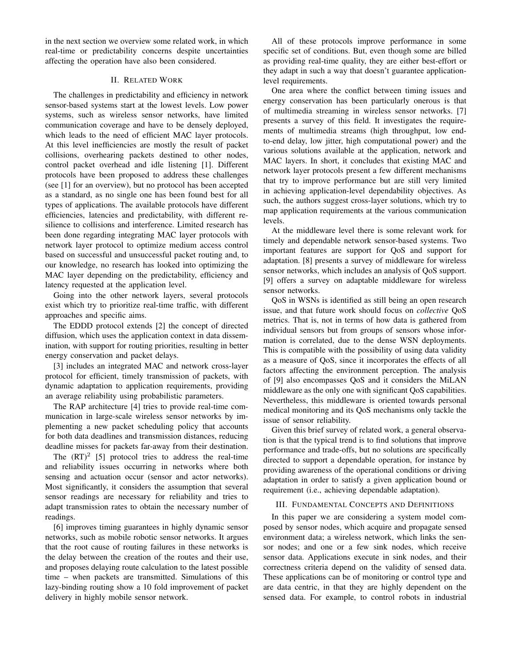in the next section we overview some related work, in which real-time or predictability concerns despite uncertainties affecting the operation have also been considered.

#### II. RELATED WORK

The challenges in predictability and efficiency in network sensor-based systems start at the lowest levels. Low power systems, such as wireless sensor networks, have limited communication coverage and have to be densely deployed, which leads to the need of efficient MAC layer protocols. At this level inefficiencies are mostly the result of packet collisions, overhearing packets destined to other nodes, control packet overhead and idle listening [1]. Different protocols have been proposed to address these challenges (see [1] for an overview), but no protocol has been accepted as a standard, as no single one has been found best for all types of applications. The available protocols have different efficiencies, latencies and predictability, with different resilience to collisions and interference. Limited research has been done regarding integrating MAC layer protocols with network layer protocol to optimize medium access control based on successful and unsuccessful packet routing and, to our knowledge, no research has looked into optimizing the MAC layer depending on the predictability, efficiency and latency requested at the application level.

Going into the other network layers, several protocols exist which try to prioritize real-time traffic, with different approaches and specific aims.

The EDDD protocol extends [2] the concept of directed diffusion, which uses the application context in data dissemination, with support for routing priorities, resulting in better energy conservation and packet delays.

[3] includes an integrated MAC and network cross-layer protocol for efficient, timely transmission of packets, with dynamic adaptation to application requirements, providing an average reliability using probabilistic parameters.

The RAP architecture [4] tries to provide real-time communication in large-scale wireless sensor networks by implementing a new packet scheduling policy that accounts for both data deadlines and transmission distances, reducing deadline misses for packets far-away from their destination.

The  $(RT)^2$  [5] protocol tries to address the real-time and reliability issues occurring in networks where both sensing and actuation occur (sensor and actor networks). Most significantly, it considers the assumption that several sensor readings are necessary for reliability and tries to adapt transmission rates to obtain the necessary number of readings.

[6] improves timing guarantees in highly dynamic sensor networks, such as mobile robotic sensor networks. It argues that the root cause of routing failures in these networks is the delay between the creation of the routes and their use, and proposes delaying route calculation to the latest possible time – when packets are transmitted. Simulations of this lazy-binding routing show a 10 fold improvement of packet delivery in highly mobile sensor network.

All of these protocols improve performance in some specific set of conditions. But, even though some are billed as providing real-time quality, they are either best-effort or they adapt in such a way that doesn't guarantee applicationlevel requirements.

One area where the conflict between timing issues and energy conservation has been particularly onerous is that of multimedia streaming in wireless sensor networks. [7] presents a survey of this field. It investigates the requirements of multimedia streams (high throughput, low endto-end delay, low jitter, high computational power) and the various solutions available at the application, network and MAC layers. In short, it concludes that existing MAC and network layer protocols present a few different mechanisms that try to improve performance but are still very limited in achieving application-level dependability objectives. As such, the authors suggest cross-layer solutions, which try to map application requirements at the various communication levels.

At the middleware level there is some relevant work for timely and dependable network sensor-based systems. Two important features are support for QoS and support for adaptation. [8] presents a survey of middleware for wireless sensor networks, which includes an analysis of QoS support. [9] offers a survey on adaptable middleware for wireless sensor networks.

QoS in WSNs is identified as still being an open research issue, and that future work should focus on *collective* QoS metrics. That is, not in terms of how data is gathered from individual sensors but from groups of sensors whose information is correlated, due to the dense WSN deployments. This is compatible with the possibility of using data validity as a measure of QoS, since it incorporates the effects of all factors affecting the environment perception. The analysis of [9] also encompasses QoS and it considers the MiLAN middleware as the only one with significant QoS capabilities. Nevertheless, this middleware is oriented towards personal medical monitoring and its QoS mechanisms only tackle the issue of sensor reliability.

Given this brief survey of related work, a general observation is that the typical trend is to find solutions that improve performance and trade-offs, but no solutions are specifically directed to support a dependable operation, for instance by providing awareness of the operational conditions or driving adaptation in order to satisfy a given application bound or requirement (i.e., achieving dependable adaptation).

## III. FUNDAMENTAL CONCEPTS AND DEFINITIONS

In this paper we are considering a system model composed by sensor nodes, which acquire and propagate sensed environment data; a wireless network, which links the sensor nodes; and one or a few sink nodes, which receive sensor data. Applications execute in sink nodes, and their correctness criteria depend on the validity of sensed data. These applications can be of monitoring or control type and are data centric, in that they are highly dependent on the sensed data. For example, to control robots in industrial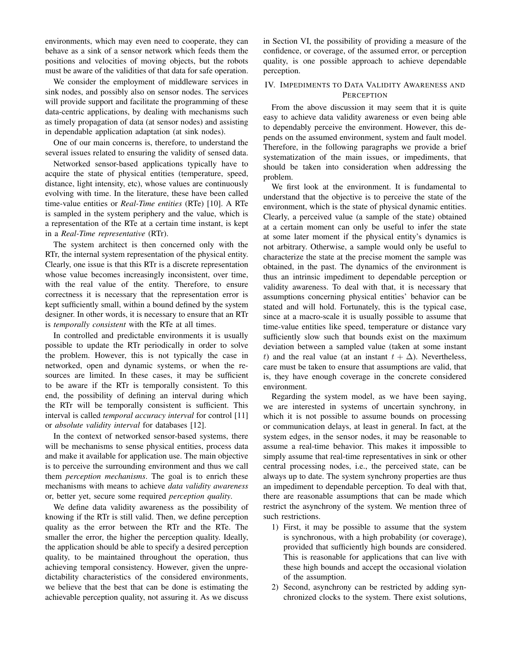environments, which may even need to cooperate, they can behave as a sink of a sensor network which feeds them the positions and velocities of moving objects, but the robots must be aware of the validities of that data for safe operation.

We consider the employment of middleware services in sink nodes, and possibly also on sensor nodes. The services will provide support and facilitate the programming of these data-centric applications, by dealing with mechanisms such as timely propagation of data (at sensor nodes) and assisting in dependable application adaptation (at sink nodes).

One of our main concerns is, therefore, to understand the several issues related to ensuring the validity of sensed data.

Networked sensor-based applications typically have to acquire the state of physical entities (temperature, speed, distance, light intensity, etc), whose values are continuously evolving with time. In the literature, these have been called time-value entities or *Real-Time entities* (RTe) [10]. A RTe is sampled in the system periphery and the value, which is a representation of the RTe at a certain time instant, is kept in a *Real-Time representative* (RTr).

The system architect is then concerned only with the RTr, the internal system representation of the physical entity. Clearly, one issue is that this RTr is a discrete representation whose value becomes increasingly inconsistent, over time, with the real value of the entity. Therefore, to ensure correctness it is necessary that the representation error is kept sufficiently small, within a bound defined by the system designer. In other words, it is necessary to ensure that an RTr is *temporally consistent* with the RTe at all times.

In controlled and predictable environments it is usually possible to update the RTr periodically in order to solve the problem. However, this is not typically the case in networked, open and dynamic systems, or when the resources are limited. In these cases, it may be sufficient to be aware if the RTr is temporally consistent. To this end, the possibility of defining an interval during which the RTr will be temporally consistent is sufficient. This interval is called *temporal accuracy interval* for control [11] or *absolute validity interval* for databases [12].

In the context of networked sensor-based systems, there will be mechanisms to sense physical entities, process data and make it available for application use. The main objective is to perceive the surrounding environment and thus we call them *perception mechanisms*. The goal is to enrich these mechanisms with means to achieve *data validity awareness* or, better yet, secure some required *perception quality*.

We define data validity awareness as the possibility of knowing if the RTr is still valid. Then, we define perception quality as the error between the RTr and the RTe. The smaller the error, the higher the perception quality. Ideally, the application should be able to specify a desired perception quality, to be maintained throughout the operation, thus achieving temporal consistency. However, given the unpredictability characteristics of the considered environments, we believe that the best that can be done is estimating the achievable perception quality, not assuring it. As we discuss in Section VI, the possibility of providing a measure of the confidence, or coverage, of the assumed error, or perception quality, is one possible approach to achieve dependable perception.

## IV. IMPEDIMENTS TO DATA VALIDITY AWARENESS AND **PERCEPTION**

From the above discussion it may seem that it is quite easy to achieve data validity awareness or even being able to dependably perceive the environment. However, this depends on the assumed environment, system and fault model. Therefore, in the following paragraphs we provide a brief systematization of the main issues, or impediments, that should be taken into consideration when addressing the problem.

We first look at the environment. It is fundamental to understand that the objective is to perceive the state of the environment, which is the state of physical dynamic entities. Clearly, a perceived value (a sample of the state) obtained at a certain moment can only be useful to infer the state at some later moment if the physical entity's dynamics is not arbitrary. Otherwise, a sample would only be useful to characterize the state at the precise moment the sample was obtained, in the past. The dynamics of the environment is thus an intrinsic impediment to dependable perception or validity awareness. To deal with that, it is necessary that assumptions concerning physical entities' behavior can be stated and will hold. Fortunately, this is the typical case, since at a macro-scale it is usually possible to assume that time-value entities like speed, temperature or distance vary sufficiently slow such that bounds exist on the maximum deviation between a sampled value (taken at some instant t) and the real value (at an instant  $t + \Delta$ ). Nevertheless, care must be taken to ensure that assumptions are valid, that is, they have enough coverage in the concrete considered environment.

Regarding the system model, as we have been saying, we are interested in systems of uncertain synchrony, in which it is not possible to assume bounds on processing or communication delays, at least in general. In fact, at the system edges, in the sensor nodes, it may be reasonable to assume a real-time behavior. This makes it impossible to simply assume that real-time representatives in sink or other central processing nodes, i.e., the perceived state, can be always up to date. The system synchrony properties are thus an impediment to dependable perception. To deal with that, there are reasonable assumptions that can be made which restrict the asynchrony of the system. We mention three of such restrictions.

- 1) First, it may be possible to assume that the system is synchronous, with a high probability (or coverage), provided that sufficiently high bounds are considered. This is reasonable for applications that can live with these high bounds and accept the occasional violation of the assumption.
- 2) Second, asynchrony can be restricted by adding synchronized clocks to the system. There exist solutions,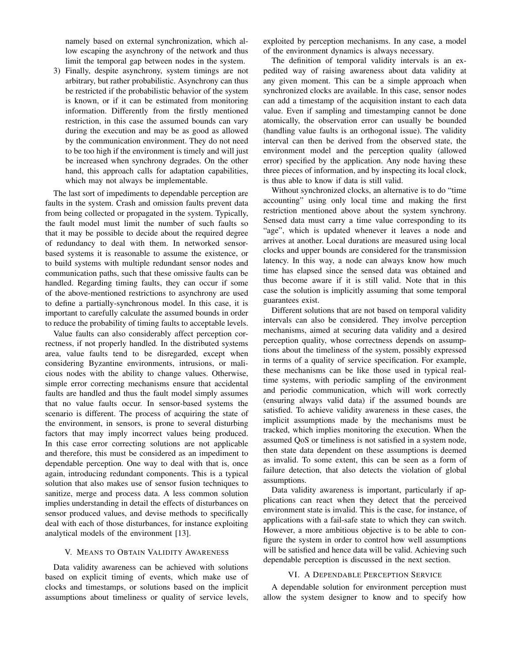namely based on external synchronization, which allow escaping the asynchrony of the network and thus limit the temporal gap between nodes in the system.

3) Finally, despite asynchrony, system timings are not arbitrary, but rather probabilistic. Asynchrony can thus be restricted if the probabilistic behavior of the system is known, or if it can be estimated from monitoring information. Differently from the firstly mentioned restriction, in this case the assumed bounds can vary during the execution and may be as good as allowed by the communication environment. They do not need to be too high if the environment is timely and will just be increased when synchrony degrades. On the other hand, this approach calls for adaptation capabilities, which may not always be implementable.

The last sort of impediments to dependable perception are faults in the system. Crash and omission faults prevent data from being collected or propagated in the system. Typically, the fault model must limit the number of such faults so that it may be possible to decide about the required degree of redundancy to deal with them. In networked sensorbased systems it is reasonable to assume the existence, or to build systems with multiple redundant sensor nodes and communication paths, such that these omissive faults can be handled. Regarding timing faults, they can occur if some of the above-mentioned restrictions to asynchrony are used to define a partially-synchronous model. In this case, it is important to carefully calculate the assumed bounds in order to reduce the probability of timing faults to acceptable levels.

Value faults can also considerably affect perception correctness, if not properly handled. In the distributed systems area, value faults tend to be disregarded, except when considering Byzantine environments, intrusions, or malicious nodes with the ability to change values. Otherwise, simple error correcting mechanisms ensure that accidental faults are handled and thus the fault model simply assumes that no value faults occur. In sensor-based systems the scenario is different. The process of acquiring the state of the environment, in sensors, is prone to several disturbing factors that may imply incorrect values being produced. In this case error correcting solutions are not applicable and therefore, this must be considered as an impediment to dependable perception. One way to deal with that is, once again, introducing redundant components. This is a typical solution that also makes use of sensor fusion techniques to sanitize, merge and process data. A less common solution implies understanding in detail the effects of disturbances on sensor produced values, and devise methods to specifically deal with each of those disturbances, for instance exploiting analytical models of the environment [13].

## V. MEANS TO OBTAIN VALIDITY AWARENESS

Data validity awareness can be achieved with solutions based on explicit timing of events, which make use of clocks and timestamps, or solutions based on the implicit assumptions about timeliness or quality of service levels, exploited by perception mechanisms. In any case, a model of the environment dynamics is always necessary.

The definition of temporal validity intervals is an expedited way of raising awareness about data validity at any given moment. This can be a simple approach when synchronized clocks are available. In this case, sensor nodes can add a timestamp of the acquisition instant to each data value. Even if sampling and timestamping cannot be done atomically, the observation error can usually be bounded (handling value faults is an orthogonal issue). The validity interval can then be derived from the observed state, the environment model and the perception quality (allowed error) specified by the application. Any node having these three pieces of information, and by inspecting its local clock, is thus able to know if data is still valid.

Without synchronized clocks, an alternative is to do "time accounting" using only local time and making the first restriction mentioned above about the system synchrony. Sensed data must carry a time value corresponding to its "age", which is updated whenever it leaves a node and arrives at another. Local durations are measured using local clocks and upper bounds are considered for the transmission latency. In this way, a node can always know how much time has elapsed since the sensed data was obtained and thus become aware if it is still valid. Note that in this case the solution is implicitly assuming that some temporal guarantees exist.

Different solutions that are not based on temporal validity intervals can also be considered. They involve perception mechanisms, aimed at securing data validity and a desired perception quality, whose correctness depends on assumptions about the timeliness of the system, possibly expressed in terms of a quality of service specification. For example, these mechanisms can be like those used in typical realtime systems, with periodic sampling of the environment and periodic communication, which will work correctly (ensuring always valid data) if the assumed bounds are satisfied. To achieve validity awareness in these cases, the implicit assumptions made by the mechanisms must be tracked, which implies monitoring the execution. When the assumed QoS or timeliness is not satisfied in a system node, then state data dependent on these assumptions is deemed as invalid. To some extent, this can be seen as a form of failure detection, that also detects the violation of global assumptions.

Data validity awareness is important, particularly if applications can react when they detect that the perceived environment state is invalid. This is the case, for instance, of applications with a fail-safe state to which they can switch. However, a more ambitious objective is to be able to configure the system in order to control how well assumptions will be satisfied and hence data will be valid. Achieving such dependable perception is discussed in the next section.

## VI. A DEPENDABLE PERCEPTION SERVICE

A dependable solution for environment perception must allow the system designer to know and to specify how